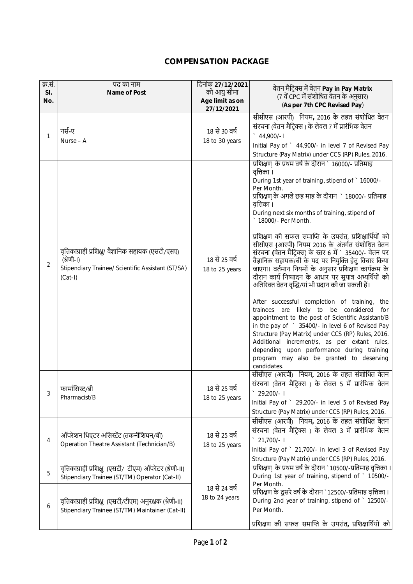## **COMPENSATION PACKAGE**

| क्र.सं.<br>SI. | पद का नाम                                                                                                                            | दिनांक 27/12/2021<br>को आयु सीमा | वेतन मैट्रिक्स में वेतन Pay in Pay Matrix                                                                                                                                                                                                                                                                                                                                                                                                                                                                                                                                                                                                                                                                                                                                                                                                                                                                                                                                                                                                                                                                              |
|----------------|--------------------------------------------------------------------------------------------------------------------------------------|----------------------------------|------------------------------------------------------------------------------------------------------------------------------------------------------------------------------------------------------------------------------------------------------------------------------------------------------------------------------------------------------------------------------------------------------------------------------------------------------------------------------------------------------------------------------------------------------------------------------------------------------------------------------------------------------------------------------------------------------------------------------------------------------------------------------------------------------------------------------------------------------------------------------------------------------------------------------------------------------------------------------------------------------------------------------------------------------------------------------------------------------------------------|
| No.            | Name of Post                                                                                                                         | Age limit as on                  | (7 वें CPC में संशोधित वेतन के अनुसार)                                                                                                                                                                                                                                                                                                                                                                                                                                                                                                                                                                                                                                                                                                                                                                                                                                                                                                                                                                                                                                                                                 |
|                |                                                                                                                                      | 27/12/2021                       | (As per 7th CPC Revised Pay)                                                                                                                                                                                                                                                                                                                                                                                                                                                                                                                                                                                                                                                                                                                                                                                                                                                                                                                                                                                                                                                                                           |
| 1              | नर्स-ए<br>Nurse - A                                                                                                                  | 18 से 30 वर्ष<br>18 to 30 years  | सीसीएस (आरपी) नियम, 2016 के तहत संशोधित वेतन<br>संरचना (वेतन मैट्रिक्स ) के लेवल 7 में प्रारंभिक वेतन<br>$\degree$ 44,900/-1<br>Initial Pay of ` 44,900/- in level 7 of Revised Pay<br>Structure (Pay Matrix) under CCS (RP) Rules, 2016.                                                                                                                                                                                                                                                                                                                                                                                                                                                                                                                                                                                                                                                                                                                                                                                                                                                                              |
| 2              | वृत्तिकाग्राही प्रशिक्षु/ वैज्ञानिक सहायक (एसटी/एसए)<br>(श्रेणी-।)<br>Stipendiary Trainee/ Scientific Assistant (ST/SA)<br>$(Cat-I)$ | 18 से 25 वर्ष<br>18 to 25 years  | प्रशिक्षण के प्रथम वर्ष के दौरान ` 16000/- प्रतिमाह<br>वृत्तिका ।<br>During 1st year of training, stipend of ` 16000/-<br>Per Month.<br>प्रशिक्षण् के अगले छह माह के दौरान ` 18000/- प्रतिमाह<br>वत्तिका ।<br>During next six months of training, stipend of<br>18000/- Per Month.<br>प्रशिक्षण की सफल समाप्ति के उपरांत, प्रशिक्षार्थियों को<br>सीसीएस (आरपी) नियम 2016 के अंतर्गत संशोधित वेतन<br>संरचना (वेतन मैटिक्स) के स्तर 6 में ` 35400/- वेतन पर<br>वैज्ञानिक सहायक/बी के पद पर नियुक्ति हेतु विचार किया<br>जाएगा। वर्तमान नियमों के अनुसार प्रशिक्षण कार्यक्रम के<br>दौरान कार्य निष्पादन के आधार पर सुपात्र अभ्यर्थियों को<br>अतिरिक्त वेतन वृद्धि/यां भी प्रदान की जा सकती हैं।<br>After successful completion of training,<br>the<br>trainees are likely to be considered<br>for<br>appointment to the post of Scientific Assistant/B<br>in the pay of > 35400/- in level 6 of Revised Pay<br>Structure (Pay Matrix) under CCS (RP) Rules, 2016.<br>Additional increment/s, as per extant rules,<br>depending upon performance during training<br>program may also be granted to deserving<br>candidates. |
| 3              | फार्मासिस्ट/बी<br>Pharmacist/B                                                                                                       | 18 से 25 वर्ष<br>18 to 25 years  | सीसीएस (आरपी) नियम, 2016 के तहत संशोधित वेतन<br>संरचना (वेतन मैटिक्स) के लेवल 5 में प्रारंभिक वेतन<br>29,200/-1<br>Initial Pay of ` 29,200/- in level 5 of Revised Pay<br>Structure (Pay Matrix) under CCS (RP) Rules, 2016.                                                                                                                                                                                                                                                                                                                                                                                                                                                                                                                                                                                                                                                                                                                                                                                                                                                                                           |
| 4              | ऑपरेशन थिएटर असिस्टेंट (तकनीशियन/बी)<br>Operation Theatre Assistant (Technician/B)                                                   | 18 से 25 वर्ष<br>18 to 25 years  | सीसीएस (आरपी) नियम, 2016 के तहत संशोधित वेतन<br>संरचना (वेतन मैटिक्स) के लेवल 3 में प्रारंभिक वेतन<br>$\degree$ 21,700/- 1<br>Initial Pay of ` 21,700/- in level 3 of Revised Pay<br>Structure (Pay Matrix) under CCS (RP) Rules, 2016.                                                                                                                                                                                                                                                                                                                                                                                                                                                                                                                                                                                                                                                                                                                                                                                                                                                                                |
| 5              | वृत्तिकाग्राही प्रशिक्षु (एसटी/ टीएम) ऑपरेटर (श्रेणी-॥)<br>Stipendiary Trainee (ST/TM) Operator (Cat-II)                             |                                  | प्रशिक्षण के प्रथम वर्ष के दौरान `10500/-प्रतिमाह वृत्तिका ।<br>During 1st year of training, stipend of ` 10500/-<br>Per Month.                                                                                                                                                                                                                                                                                                                                                                                                                                                                                                                                                                                                                                                                                                                                                                                                                                                                                                                                                                                        |
| 6              | वृत्तिकाग्राही प्रशिक्षु (एसटी/टीएम) अनुरक्षक (श्रेणी-॥)<br>Stipendiary Trainee (ST/TM) Maintainer (Cat-II)                          | 18 से 24 वर्ष<br>18 to 24 years  | प्रशिक्षण के दूसरे वर्ष के दौरान `12500/-प्रतिमाह वृत्तिका ।<br>During 2nd year of training, stipend of ` 12500/-<br>Per Month.<br>प्रशिक्षण की सफल समाप्ति के उपरांत, प्रशिक्षार्थियों को                                                                                                                                                                                                                                                                                                                                                                                                                                                                                                                                                                                                                                                                                                                                                                                                                                                                                                                             |